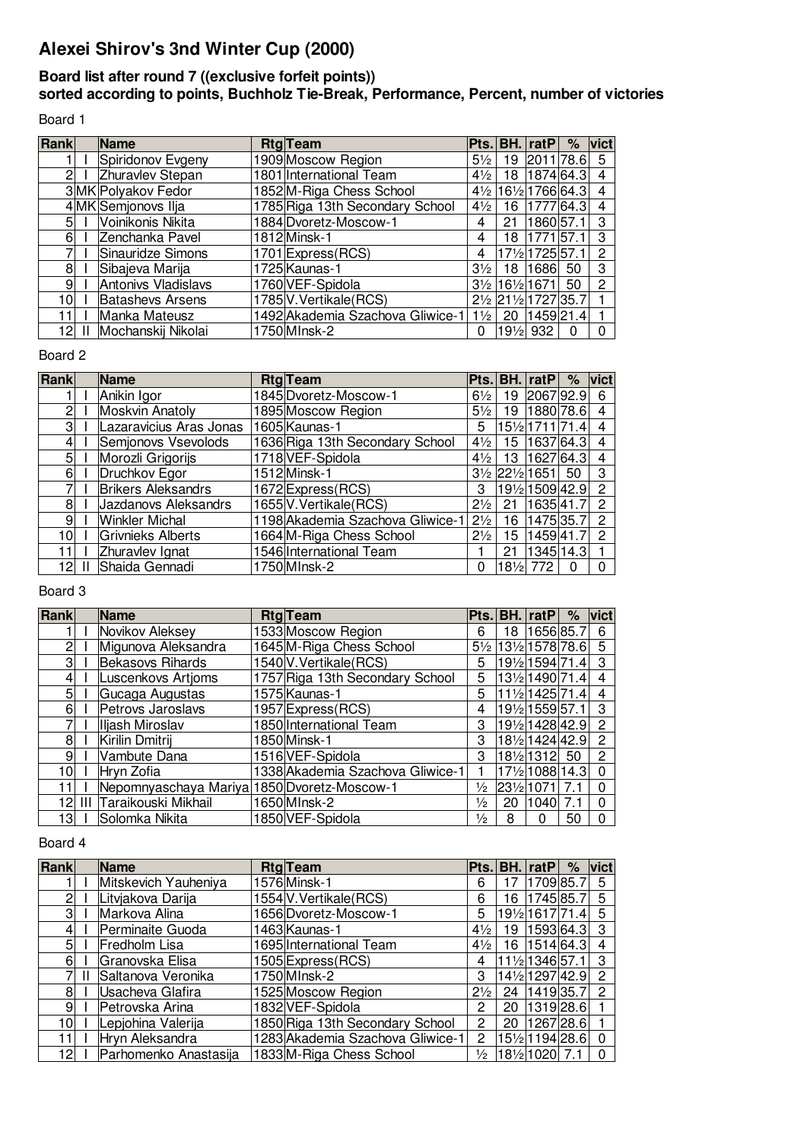# **Alexei Shirov's 3nd Winter Cup (2000)**

## **Board list after round 7 ((exclusive forfeit points))**

**sorted according to points, Buchholz Tie-Break, Performance, Percent, number of victories**

Board 1

| Rank | Name                    | <b>Rtg</b> Team                  |                |                 | lPts.⊺BH.⊺ratP⊺                      | %  | $ $ vict     |
|------|-------------------------|----------------------------------|----------------|-----------------|--------------------------------------|----|--------------|
|      | Spiridonov Evgeny       | 909 Moscow Region                | $5\frac{1}{2}$ | 19              | 2011 78.6                            |    | 5            |
| 2    | Zhuravlev Stepan        | 1801 International Team          | $4\frac{1}{2}$ | 18              | 1874 64.3                            |    | 4            |
|      | 3MK Polyakov Fedor      | 1852M-Riga Chess School          |                |                 | 41/2 161/2 1766 64.3                 |    | 4            |
|      | 4 MK Semjonovs Ilja     | 1785 Riga 13th Secondary School  | $4\frac{1}{2}$ | 16              | 1777 64.3                            |    | 4            |
| 51   | Voinikonis Nikita       | 1884 Dvoretz-Moscow-1            | 4              | 21              | 1860 57.1                            |    | 3            |
| 61   | Zenchanka Pavel         | 1812 Minsk-1                     | 4              | 18              | 1771 57.1                            |    | 3            |
|      | Sinauridze Simons       | 1701 Express (RCS)               | 4              |                 | 171/2 1725 57.1                      |    | 2            |
| 8    | Sibajeva Marija         | 1725 Kaunas-1                    | $3\frac{1}{2}$ | 18              | 1686 50                              |    | 3            |
| 9    | Antonivs Vladislavs     | 1760 VEF-Spidola                 |                |                 | $3\frac{1}{2}$ 16 $\frac{1}{2}$ 1671 | 50 | $\mathbf{2}$ |
| 101  | <b>Batashevs Arsens</b> | 1785 V. Vertikale (RCS)          |                |                 | 21/2 211/2 1727 35.7                 |    |              |
| 11   | Manka Mateusz           | 1492 Akademia Szachova Gliwice-1 | $1\frac{1}{2}$ | -20             | 1459 21.4                            |    |              |
| 121  | Mochanskij Nikolai      | 1750 MInsk-2                     | 0              | $19\frac{1}{2}$ | 932                                  | 0  |              |

#### Board 2

| Rank           | <b>Name</b>               | <b>Rtg</b> Team                  |                | Pts.IBH.I       | rat $P$                              | $\%$ | $ $ vict             |
|----------------|---------------------------|----------------------------------|----------------|-----------------|--------------------------------------|------|----------------------|
|                | Anikin Igor               | 1845 Dvoretz-Moscow-1            | $6\frac{1}{2}$ | 19              | 2067 92.9                            |      | 6                    |
|                | <b>Moskvin Anatoly</b>    | 1895 Moscow Region               | $5\frac{1}{2}$ | 19              | 1880 78.6                            |      | 4                    |
| 3              | Lazaravicius Aras Jonas   | 1605 Kaunas-1                    | 5              |                 | $ 15\frac{1}{2} 1711 71.4 $          |      | 4                    |
|                | Semjonovs Vsevolods       | 1636 Riga 13th Secondary School  | $4\frac{1}{2}$ | 15              | 1637 64.3                            |      | 4                    |
| 5              | Morozli Grigorijs         | 1718 VEF-Spidola                 | $4\frac{1}{2}$ | 13              | 1627 64.3                            |      | 4                    |
| 6              | Druchkov Egor             | 1512 Minsk-1                     |                |                 | $3\frac{1}{2}$ 22 $\frac{1}{2}$ 1651 | 50   | 3                    |
|                | <b>Brikers Aleksandrs</b> | 1672 Express (RCS)               | З              |                 | $ 19\frac{1}{2} 1509 42.9 $          |      | 2                    |
| 8              | Jazdanovs Aleksandrs      | 1655 V. Vertikale (RCS)          | $2\frac{1}{2}$ | 21              | 1635 41.7                            |      | 2                    |
| 9 <sub>l</sub> | Winkler Michal            | 1198 Akademia Szachova Gliwice-1 | $2\frac{1}{2}$ | 16              | 1475 35.7                            |      | $\mathbf{2}^{\circ}$ |
| 10l            | Grivnieks Alberts         | 1664 M-Riga Chess School         | $2\frac{1}{2}$ | 15              | 1459 41.7                            |      | 2                    |
|                | Zhuravlev Ignat           | 1546 International Team          |                | 21              | 1345 14.3                            |      |                      |
| 12             | Shaida Gennadi            | 1750 M Insk-2                    | 0              | $18\frac{1}{2}$ | 772                                  | ∩    |                      |

## Board 3

| Rank |        | Name                                        | <b>Rtg</b> Team                  |               |    | Pts. BH. ratP                 | $\%$ | vict     |
|------|--------|---------------------------------------------|----------------------------------|---------------|----|-------------------------------|------|----------|
|      |        | Novikov Aleksey                             | 1533 Moscow Region               | 6             | 18 | 1656 85.7                     |      | 6        |
|      |        | Migunova Aleksandra                         | 1645 M-Riga Chess School         |               |    | 5½ 13½ 1578 78.6              |      | 5        |
| 3    |        | <b>Bekasovs Rihards</b>                     | 1540 V. Vertikale (RCS)          | 5             |    | $ 19\frac{1}{2} 1594 71.4 $ 3 |      |          |
| 4    |        | Luscenkovs Artioms                          | 1757 Riga 13th Secondary School  | 5             |    | $ 13\frac{1}{2} 1490 71.4 4$  |      |          |
| 5    |        | Gucaga Augustas                             | 1575 Kaunas-1                    | 5             |    | $ 11\frac{1}{2} 1425 71.4 $   |      | 4        |
| 6    |        | Petrovs Jaroslavs                           | 1957 Express (RCS)               | 4             |    | 19½ 1559 57.1                 |      | 3        |
|      |        | Iliash Miroslav                             | 1850 International Team          | 3             |    | 19½ 1428 42.9 2               |      |          |
| 8    |        | Kirilin Dmitrij                             | 1850 Minsk-1                     | 3             |    | 18½ 1424 42.9                 |      | 2        |
| 9    |        | Vambute Dana                                | 1516 VEF-Spidola                 | 3             |    | 18½ 1312  50                  |      | 2        |
| 10l  |        | Hryn Zofia                                  | 1338 Akademia Szachova Gliwice-1 |               |    | 171⁄2 1088 14.3               |      | $\Omega$ |
|      |        | Nepomnyaschaya Mariya 1850 Dvoretz-Moscow-1 |                                  | $\frac{1}{2}$ |    | $ 23\frac{1}{2} 1071 $        | 7.1  | $\Omega$ |
|      | 12 III | Taraikouski Mikhail                         | 1650 MInsk-2                     | $\frac{1}{2}$ | 20 | 1040                          | 7.1  | 0        |
| 131  |        | Solomka Nikita                              | 1850 VEF-Spidola                 | $\frac{1}{2}$ | 8  | 0                             | 50   | 0        |

### Board 4

| Rank |   | <b>Name</b>            | <b>Rtg</b> Team                  | <b>Pts.l</b>   |      | <b>BH.</b> ratP | $\%$ | $ $ vict $ $ |
|------|---|------------------------|----------------------------------|----------------|------|-----------------|------|--------------|
|      |   | Mitskevich Yauheniya   | 1576 Minsk-1                     | 6              |      | 1709 85.7       |      | 5            |
| ი    |   | Litvjakova Darija      | 1554 V. Vertikale (RCS)          | 6              | 16   | 1745 85.7       |      | 5            |
| 3    |   | Markova Alina          | 1656 Dvoretz-Moscow-1            | 5              |      | 191⁄2 1617 71.4 |      | 5            |
| 41   |   | Perminaite Guoda       | 1463 Kaunas-1                    | $4\frac{1}{2}$ | 19   | 1593 64.3       |      | -3           |
| 51   |   | Fredholm Lisa          | 1695 International Team          | $4\frac{1}{2}$ | 16 I | 1514 64.3       |      | 4            |
| 61   |   | <b>Granovska Elisa</b> | 1505 Express (RCS)               | 4              |      | 11½ 1346 57.1   |      | 3            |
|      | Ш | Saltanova Veronika     | 1750 MInsk-2                     | 3              |      | 141⁄2 1297 42.9 |      | 2            |
| 81   |   | Usacheva Glafira       | 1525 Moscow Region               | $2\frac{1}{2}$ | 24 I | 1419 35.7       |      | 2            |
| 91   |   | Petrovska Arina        | 1832 VEF-Spidola                 | 2              | 20   | 1319 28.6       |      |              |
| 101  |   | Lepjohina Valerija     | 1850 Riga 13th Secondary School  | 2              | 20   | 1267 28.6       |      |              |
| 11   |   | Hryn Aleksandra        | 1283 Akademia Szachova Gliwice-1 | 2              |      | 151/2 1194 28.6 |      | $\Omega$     |
| 121  |   | Parhomenko Anastasija  | 1833 M-Riga Chess School         | $\frac{1}{2}$  |      | 18½ 1020  7.1   |      | 0            |